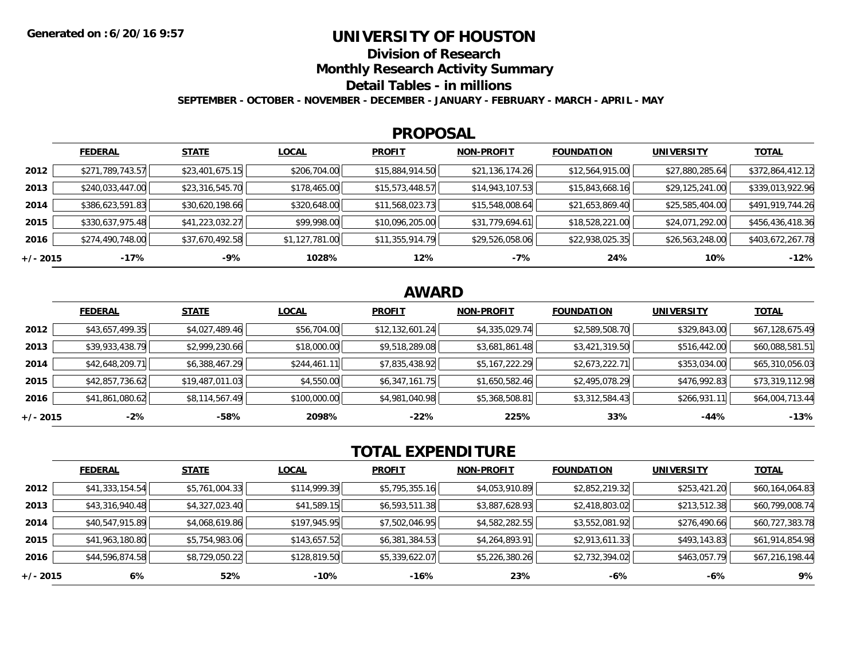## **UNIVERSITY OF HOUSTON**

**Division of Research**

**Monthly Research Activity Summary**

**Detail Tables - in millions**

**SEPTEMBER - OCTOBER - NOVEMBER - DECEMBER - JANUARY - FEBRUARY - MARCH - APRIL - MAY**

#### **PROPOSAL**

|            | <b>FEDERAL</b>   | <b>STATE</b>    | <b>LOCAL</b>   | <b>PROFIT</b>   | <b>NON-PROFIT</b> | <b>FOUNDATION</b> | <b>UNIVERSITY</b> | <b>TOTAL</b>     |
|------------|------------------|-----------------|----------------|-----------------|-------------------|-------------------|-------------------|------------------|
| 2012       | \$271,789,743.57 | \$23,401,675.15 | \$206,704.00   | \$15,884,914.50 | \$21,136,174.26   | \$12,564,915.00   | \$27,880,285.64   | \$372,864,412.12 |
| 2013       | \$240,033,447.00 | \$23,316,545.70 | \$178,465.00   | \$15,573,448.57 | \$14,943,107.53   | \$15,843,668.16   | \$29,125,241.00   | \$339,013,922.96 |
| 2014       | \$386,623,591.83 | \$30,620,198.66 | \$320,648.00   | \$11,568,023.73 | \$15,548,008.64   | \$21,653,869.40   | \$25,585,404.00   | \$491,919,744.26 |
| 2015       | \$330,637,975.48 | \$41,223,032.27 | \$99,998.00    | \$10,096,205.00 | \$31,779,694.61   | \$18,528,221.00   | \$24,071,292.00   | \$456,436,418.36 |
| 2016       | \$274,490,748.00 | \$37,670,492.58 | \$1,127,781.00 | \$11,355,914.79 | \$29,526,058.06   | \$22,938,025.35   | \$26,563,248.00   | \$403,672,267.78 |
| $+/- 2015$ | -17%             | $-9%$           | 1028%          | 12%             | $-7%$             | 24%               | 10%               | $-12%$           |

## **AWARD**

|            | <b>FEDERAL</b>  | <b>STATE</b>    | <b>LOCAL</b> | <b>PROFIT</b>   | <b>NON-PROFIT</b> | <b>FOUNDATION</b> | <b>UNIVERSITY</b> | <u>TOTAL</u>    |
|------------|-----------------|-----------------|--------------|-----------------|-------------------|-------------------|-------------------|-----------------|
| 2012       | \$43,657,499.35 | \$4,027,489.46  | \$56,704.00  | \$12,132,601.24 | \$4,335,029.74    | \$2,589,508.70    | \$329,843.00      | \$67,128,675.49 |
| 2013       | \$39,933,438.79 | \$2,999,230.66  | \$18,000.00  | \$9,518,289.08  | \$3,681,861.48    | \$3,421,319.50    | \$516,442.00      | \$60,088,581.51 |
| 2014       | \$42,648,209.71 | \$6,388,467.29  | \$244,461.11 | \$7,835,438.92  | \$5,167,222.29    | \$2,673,222.71    | \$353,034.00      | \$65,310,056.03 |
| 2015       | \$42,857,736.62 | \$19,487,011.03 | \$4,550.00   | \$6,347,161.75  | \$1,650,582.46    | \$2,495,078.29    | \$476,992.83      | \$73,319,112.98 |
| 2016       | \$41,861,080.62 | \$8,114,567.49  | \$100,000.00 | \$4,981,040.98  | \$5,368,508.81    | \$3,312,584.43    | \$266,931.11      | \$64,004,713.44 |
| $+/- 2015$ | $-2%$           | -58%            | 2098%        | $-22%$          | 225%              | 33%               | $-44%$            | $-13%$          |

# **TOTAL EXPENDITURE**

|          | <b>FEDERAL</b>  | <b>STATE</b>   | <b>LOCAL</b> | <b>PROFIT</b>  | <b>NON-PROFIT</b> | <b>FOUNDATION</b> | <b>UNIVERSITY</b> | <b>TOTAL</b>    |
|----------|-----------------|----------------|--------------|----------------|-------------------|-------------------|-------------------|-----------------|
| 2012     | \$41,333,154.54 | \$5,761,004.33 | \$114,999.39 | \$5,795,355.16 | \$4,053,910.89    | \$2,852,219.32    | \$253,421.20      | \$60,164,064.83 |
| 2013     | \$43,316,940.48 | \$4,327,023.40 | \$41,589.15  | \$6,593,511.38 | \$3,887,628.93    | \$2,418,803.02    | \$213,512.38      | \$60,799,008.74 |
| 2014     | \$40,547,915.89 | \$4,068,619.86 | \$197,945.95 | \$7,502,046.95 | \$4,582,282.55    | \$3,552,081.92    | \$276,490.66      | \$60,727,383.78 |
| 2015     | \$41,963,180.80 | \$5,754,983.06 | \$143,657.52 | \$6,381,384.53 | \$4,264,893.91    | \$2,913,611.33    | \$493,143.83      | \$61,914,854.98 |
| 2016     | \$44,596,874.58 | \$8,729,050.22 | \$128,819.50 | \$5,339,622.07 | \$5,226,380.26    | \$2,732,394.02    | \$463,057.79      | \$67,216,198.44 |
| +/- 2015 | 6%              | 52%            | -10%         | -16%           | 23%               | -6%               | -6%               | 9%              |